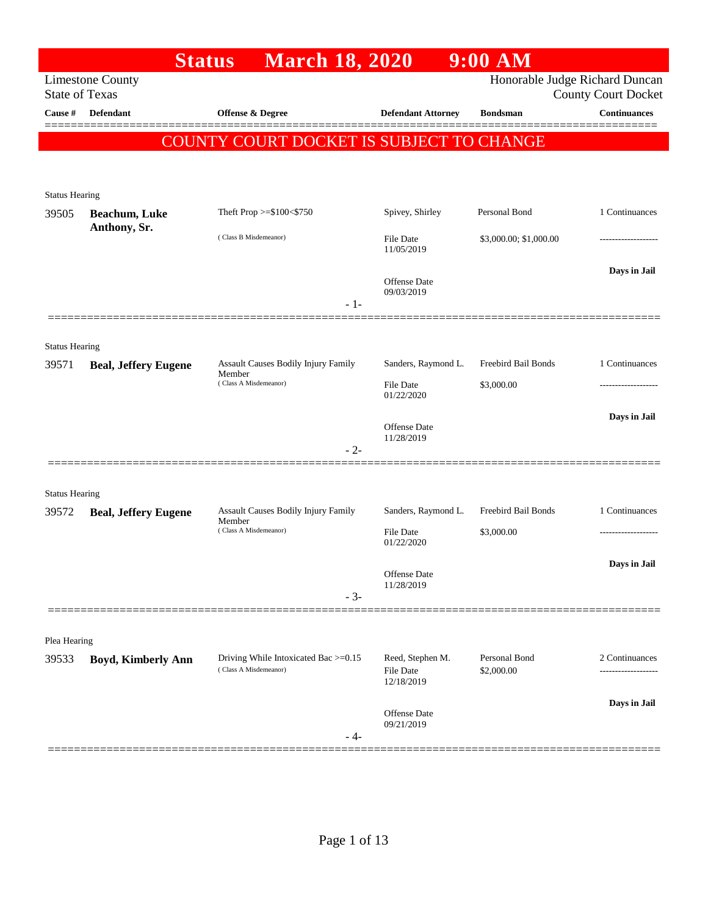|                                |                             | <b>March 18, 2020</b><br><b>Status</b>                        |                               | $9:00$ AM                   |                                                   |
|--------------------------------|-----------------------------|---------------------------------------------------------------|-------------------------------|-----------------------------|---------------------------------------------------|
| <b>State of Texas</b>          | <b>Limestone County</b>     |                                                               |                               |                             | Honorable Judge Richard Duncan                    |
| Cause #                        | Defendant                   | Offense & Degree                                              | <b>Defendant Attorney</b>     | <b>Bondsman</b>             | <b>County Court Docket</b><br><b>Continuances</b> |
|                                |                             |                                                               |                               |                             |                                                   |
|                                |                             | COUNTY COURT DOCKET IS SUBJECT TO CHANGE                      |                               |                             |                                                   |
|                                |                             |                                                               |                               |                             |                                                   |
| <b>Status Hearing</b>          |                             |                                                               |                               |                             |                                                   |
| 39505                          | <b>Beachum, Luke</b>        | Theft Prop >=\$100<\$750                                      | Spivey, Shirley               | Personal Bond               | 1 Continuances                                    |
|                                | Anthony, Sr.                | (Class B Misdemeanor)                                         | File Date<br>11/05/2019       | \$3,000.00; \$1,000.00      |                                                   |
|                                |                             | $-1-$                                                         | Offense Date<br>09/03/2019    |                             | Days in Jail                                      |
|                                |                             |                                                               |                               |                             |                                                   |
| <b>Status Hearing</b>          |                             |                                                               |                               |                             |                                                   |
| 39571                          | <b>Beal, Jeffery Eugene</b> | <b>Assault Causes Bodily Injury Family</b><br>Member          | Sanders, Raymond L.           | Freebird Bail Bonds         | 1 Continuances                                    |
|                                |                             | (Class A Misdemeanor)                                         | File Date<br>01/22/2020       | \$3,000.00                  | .                                                 |
|                                |                             |                                                               |                               |                             | Days in Jail                                      |
|                                |                             |                                                               | Offense Date<br>11/28/2019    |                             |                                                   |
|                                |                             | $-2-$                                                         |                               |                             |                                                   |
|                                |                             |                                                               |                               |                             |                                                   |
| <b>Status Hearing</b><br>39572 | <b>Beal, Jeffery Eugene</b> | Assault Causes Bodily Injury Family                           | Sanders, Raymond L.           | Freebird Bail Bonds         | 1 Continuances                                    |
|                                |                             | Member<br>(Class A Misdemeanor)                               | File Date                     | \$3,000.00                  |                                                   |
|                                |                             |                                                               | 01/22/2020                    |                             |                                                   |
|                                |                             |                                                               | Offense Date                  |                             | Days in Jail                                      |
|                                |                             | $-3-$                                                         | 11/28/2019                    |                             |                                                   |
|                                |                             |                                                               |                               |                             |                                                   |
| Plea Hearing                   |                             |                                                               |                               |                             |                                                   |
| 39533                          | Boyd, Kimberly Ann          | Driving While Intoxicated Bac >=0.15<br>(Class A Misdemeanor) | Reed, Stephen M.<br>File Date | Personal Bond<br>\$2,000.00 | 2 Continuances                                    |
|                                |                             |                                                               | 12/18/2019                    |                             |                                                   |
|                                |                             |                                                               | Offense Date<br>09/21/2019    |                             | Days in Jail                                      |
|                                |                             | - 4-                                                          |                               |                             |                                                   |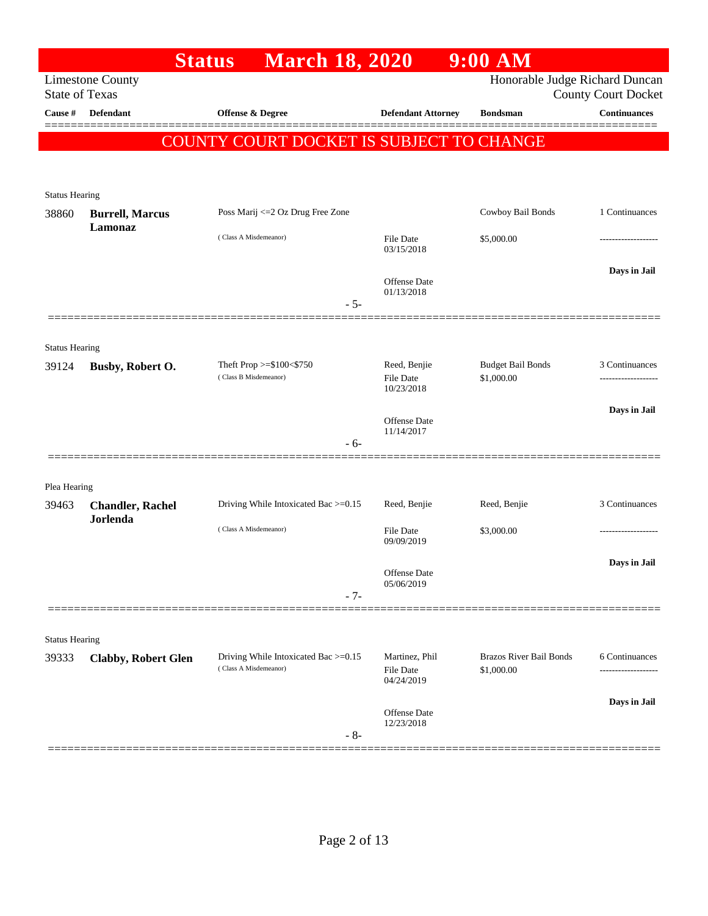|                                |                            | <b>March 18, 2020</b><br><b>Status</b>   |                                   | $9:00$ AM                      |                            |
|--------------------------------|----------------------------|------------------------------------------|-----------------------------------|--------------------------------|----------------------------|
| <b>State of Texas</b>          | <b>Limestone County</b>    |                                          |                                   | Honorable Judge Richard Duncan | <b>County Court Docket</b> |
| Cause #                        | <b>Defendant</b>           | <b>Offense &amp; Degree</b>              | <b>Defendant Attorney</b>         | <b>Bondsman</b>                | <b>Continuances</b>        |
|                                |                            |                                          |                                   |                                |                            |
|                                |                            | COUNTY COURT DOCKET IS SUBJECT TO CHANGE |                                   |                                |                            |
|                                |                            |                                          |                                   |                                |                            |
| <b>Status Hearing</b>          |                            |                                          |                                   |                                |                            |
| 38860                          | <b>Burrell, Marcus</b>     | Poss Marij <= 2 Oz Drug Free Zone        |                                   | Cowboy Bail Bonds              | 1 Continuances             |
|                                | Lamonaz                    | (Class A Misdemeanor)                    | <b>File Date</b><br>03/15/2018    | \$5,000.00                     |                            |
|                                |                            |                                          |                                   |                                | Days in Jail               |
|                                |                            |                                          | <b>Offense Date</b><br>01/13/2018 |                                |                            |
|                                |                            | $-5-$                                    |                                   |                                |                            |
|                                |                            |                                          |                                   |                                |                            |
| <b>Status Hearing</b><br>39124 |                            | Theft Prop >=\$100<\$750                 | Reed, Benjie                      | <b>Budget Bail Bonds</b>       | 3 Continuances             |
|                                | Busby, Robert O.           | (Class B Misdemeanor)                    | <b>File Date</b><br>10/23/2018    | \$1,000.00                     | .                          |
|                                |                            |                                          | Offense Date                      |                                | Days in Jail               |
|                                |                            |                                          | 11/14/2017                        |                                |                            |
|                                |                            | - 6-                                     |                                   |                                |                            |
|                                |                            |                                          |                                   |                                |                            |
| Plea Hearing<br>39463          | <b>Chandler, Rachel</b>    | Driving While Intoxicated Bac >=0.15     | Reed, Benjie                      | Reed, Benjie                   | 3 Continuances             |
|                                | Jorlenda                   | (Class A Misdemeanor)                    | <b>File Date</b>                  | \$3,000.00                     |                            |
|                                |                            |                                          | 09/09/2019                        |                                |                            |
|                                |                            |                                          | Offense Date                      |                                | Days in Jail               |
|                                |                            | $-7-$                                    | 05/06/2019                        |                                |                            |
|                                |                            |                                          |                                   |                                |                            |
| <b>Status Hearing</b>          |                            |                                          |                                   |                                |                            |
| 39333                          | <b>Clabby, Robert Glen</b> | Driving While Intoxicated Bac >=0.15     | Martinez, Phil                    | <b>Brazos River Bail Bonds</b> | 6 Continuances             |
|                                |                            | (Class A Misdemeanor)                    | <b>File Date</b><br>04/24/2019    | \$1,000.00                     | -----------------          |
|                                |                            |                                          | Offense Date                      |                                | Days in Jail               |
|                                |                            | $-8-$                                    | 12/23/2018                        |                                |                            |
|                                |                            |                                          |                                   |                                |                            |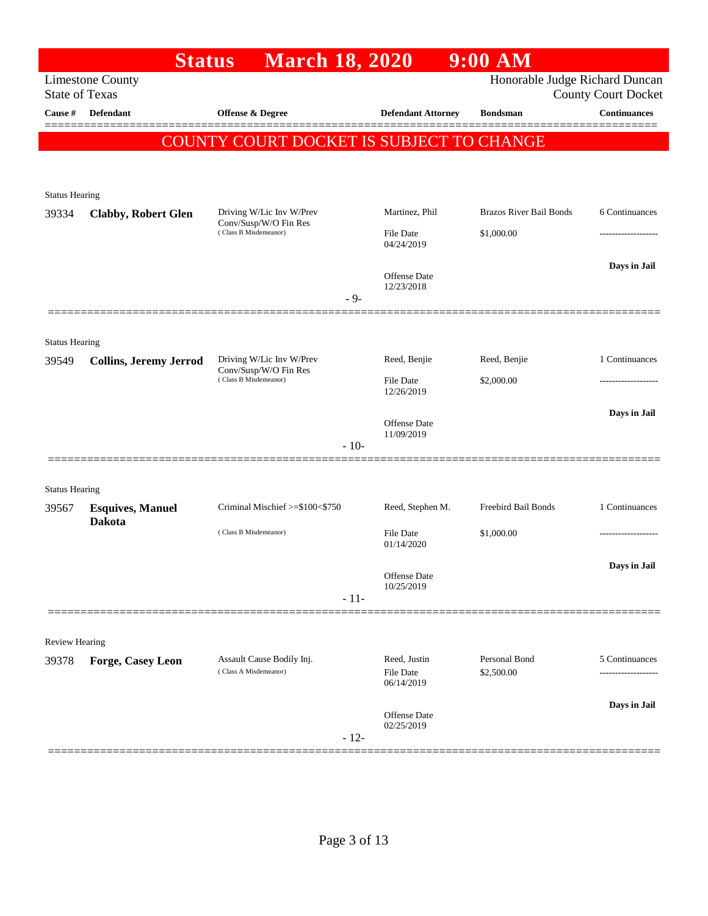|                       | <b>Status</b>                 | <b>March 18, 2020</b>                              |                                   | $9:00$ AM                      |                            |
|-----------------------|-------------------------------|----------------------------------------------------|-----------------------------------|--------------------------------|----------------------------|
| <b>State of Texas</b> | <b>Limestone County</b>       |                                                    |                                   | Honorable Judge Richard Duncan | <b>County Court Docket</b> |
| Cause #               | Defendant                     | <b>Offense &amp; Degree</b>                        | <b>Defendant Attorney</b>         | <b>Bondsman</b>                | <b>Continuances</b>        |
|                       |                               | COUNTY COURT DOCKET IS SUBJECT TO CHANGE           |                                   |                                |                            |
|                       |                               |                                                    |                                   |                                |                            |
| <b>Status Hearing</b> |                               |                                                    |                                   |                                |                            |
| 39334                 | <b>Clabby, Robert Glen</b>    | Driving W/Lic Inv W/Prev<br>Conv/Susp/W/O Fin Res  | Martinez, Phil                    | <b>Brazos River Bail Bonds</b> | 6 Continuances             |
|                       |                               | (Class B Misdemeanor)                              | <b>File Date</b><br>04/24/2019    | \$1,000.00                     |                            |
|                       |                               |                                                    | <b>Offense Date</b>               |                                | Days in Jail               |
|                       |                               | $-9-$                                              | 12/23/2018                        |                                |                            |
|                       |                               |                                                    |                                   |                                |                            |
| <b>Status Hearing</b> |                               | Driving W/Lic Inv W/Prev                           | Reed, Benjie                      | Reed, Benjie                   | 1 Continuances             |
| 39549                 | <b>Collins, Jeremy Jerrod</b> | Conv/Susp/W/O Fin Res<br>(Class B Misdemeanor)     | <b>File Date</b>                  | \$2,000.00                     | ------------------         |
|                       |                               |                                                    | 12/26/2019                        |                                |                            |
|                       |                               |                                                    | <b>Offense Date</b><br>11/09/2019 |                                | Days in Jail               |
|                       |                               | $-10-$                                             |                                   |                                |                            |
| <b>Status Hearing</b> |                               |                                                    |                                   |                                |                            |
| 39567                 | <b>Esquives, Manuel</b>       | Criminal Mischief >=\$100<\$750                    | Reed, Stephen M.                  | Freebird Bail Bonds            | 1 Continuances             |
|                       | <b>Dakota</b>                 | (Class B Misdemeanor)                              | <b>File Date</b><br>01/14/2020    | \$1,000.00                     |                            |
|                       |                               |                                                    |                                   |                                | Days in Jail               |
|                       |                               |                                                    | Offense Date<br>10/25/2019        |                                |                            |
|                       |                               | $-11-$                                             |                                   |                                |                            |
| <b>Review Hearing</b> |                               |                                                    |                                   |                                |                            |
| 39378                 | Forge, Casey Leon             | Assault Cause Bodily Inj.<br>(Class A Misdemeanor) | Reed, Justin<br>File Date         | Personal Bond<br>\$2,500.00    | 5 Continuances<br>.        |
|                       |                               |                                                    | 06/14/2019                        |                                |                            |
|                       |                               |                                                    | <b>Offense</b> Date<br>02/25/2019 |                                | Days in Jail               |
|                       |                               | $-12-$                                             |                                   |                                |                            |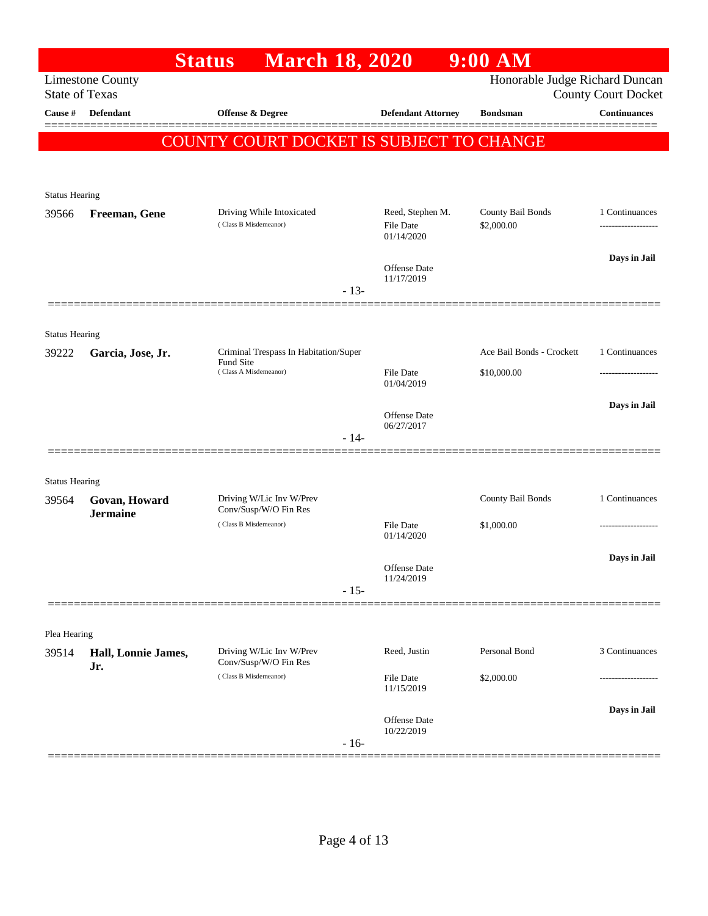|                                |                         | <b>March 18, 2020</b><br><b>Status</b>            |           |                                   | $9:00$ AM                      |                            |
|--------------------------------|-------------------------|---------------------------------------------------|-----------|-----------------------------------|--------------------------------|----------------------------|
| <b>State of Texas</b>          | <b>Limestone County</b> |                                                   |           |                                   | Honorable Judge Richard Duncan | <b>County Court Docket</b> |
| Cause #                        | Defendant               | <b>Offense &amp; Degree</b>                       |           | <b>Defendant Attorney</b>         | <b>Bondsman</b>                | <b>Continuances</b>        |
|                                |                         | COUNTY COURT DOCKET IS SUBJECT TO CHANGE          |           |                                   |                                |                            |
|                                |                         |                                                   |           |                                   |                                |                            |
| <b>Status Hearing</b>          |                         |                                                   |           |                                   |                                |                            |
| 39566                          | Freeman, Gene           | Driving While Intoxicated                         |           | Reed, Stephen M.                  | County Bail Bonds              | 1 Continuances             |
|                                |                         | (Class B Misdemeanor)                             |           | File Date<br>01/14/2020           | \$2,000.00                     | ------------------         |
|                                |                         |                                                   |           |                                   |                                | Days in Jail               |
|                                |                         |                                                   |           | <b>Offense Date</b><br>11/17/2019 |                                |                            |
|                                |                         |                                                   | $-13-$    |                                   |                                |                            |
| <b>Status Hearing</b>          |                         |                                                   |           |                                   |                                |                            |
| 39222                          | Garcia, Jose, Jr.       | Criminal Trespass In Habitation/Super             |           |                                   | Ace Bail Bonds - Crockett      | 1 Continuances             |
|                                |                         | (Class A Misdemeanor)                             | Fund Site | <b>File Date</b><br>01/04/2019    | \$10,000.00                    |                            |
|                                |                         |                                                   |           |                                   |                                | Days in Jail               |
|                                |                         |                                                   |           | Offense Date<br>06/27/2017        |                                |                            |
|                                |                         |                                                   | $-14-$    |                                   |                                |                            |
|                                |                         |                                                   |           |                                   |                                |                            |
| <b>Status Hearing</b><br>39564 | Govan, Howard           | Driving W/Lic Inv W/Prev                          |           |                                   | County Bail Bonds              | 1 Continuances             |
|                                | <b>Jermaine</b>         | Conv/Susp/W/O Fin Res                             |           |                                   |                                |                            |
|                                |                         | (Class B Misdemeanor)                             |           | File Date<br>01/14/2020           | \$1,000.00                     |                            |
|                                |                         |                                                   |           | Offense Date                      |                                | Days in Jail               |
|                                |                         |                                                   | $-15-$    | 11/24/2019                        |                                |                            |
|                                |                         |                                                   |           |                                   |                                |                            |
| Plea Hearing                   |                         |                                                   |           |                                   |                                |                            |
| 39514                          | Hall, Lonnie James,     | Driving W/Lic Inv W/Prev<br>Conv/Susp/W/O Fin Res |           | Reed, Justin                      | Personal Bond                  | 3 Continuances             |
|                                | Jr.                     | (Class B Misdemeanor)                             |           | <b>File Date</b>                  | \$2,000.00                     |                            |
|                                |                         |                                                   |           | 11/15/2019                        |                                |                            |
|                                |                         |                                                   |           | Offense Date<br>10/22/2019        |                                | Days in Jail               |
|                                |                         |                                                   | $-16-$    |                                   |                                |                            |
|                                |                         |                                                   |           |                                   |                                |                            |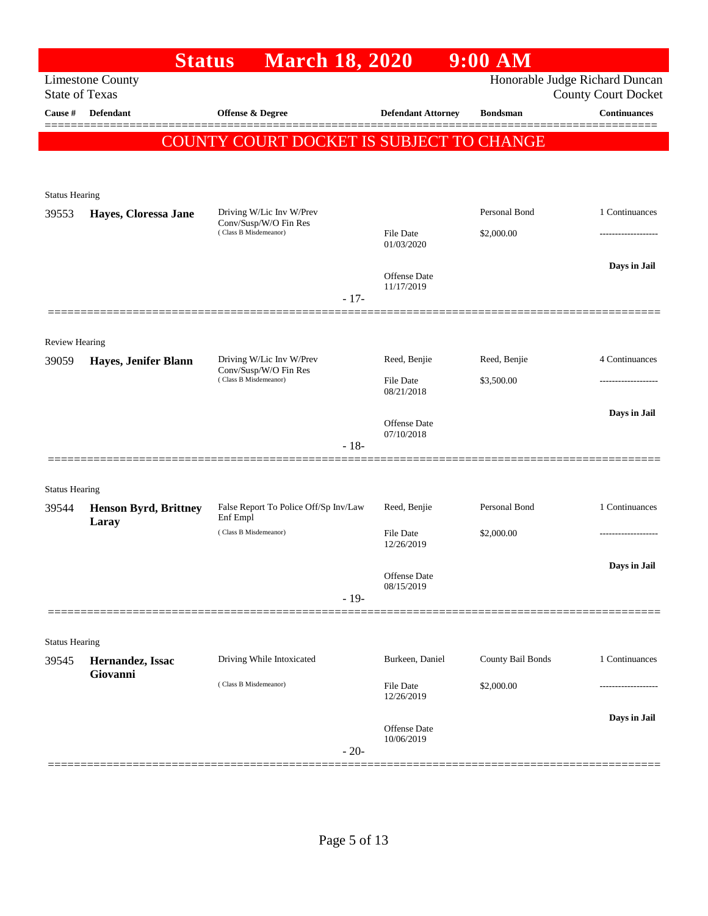|                                  |                              | <b>March 18, 2020</b><br><b>Status</b>            |                           | $9:00$ AM         |                                                   |
|----------------------------------|------------------------------|---------------------------------------------------|---------------------------|-------------------|---------------------------------------------------|
|                                  | <b>Limestone County</b>      |                                                   |                           |                   | Honorable Judge Richard Duncan                    |
| <b>State of Texas</b><br>Cause # | Defendant                    | Offense & Degree                                  | <b>Defendant Attorney</b> | <b>Bondsman</b>   | <b>County Court Docket</b><br><b>Continuances</b> |
|                                  |                              | COUNTY COURT DOCKET IS SUBJECT TO CHANGE          |                           |                   |                                                   |
|                                  |                              |                                                   |                           |                   |                                                   |
|                                  |                              |                                                   |                           |                   |                                                   |
| <b>Status Hearing</b><br>39553   |                              | Driving W/Lic Inv W/Prev                          |                           | Personal Bond     | 1 Continuances                                    |
|                                  | Hayes, Cloressa Jane         | Conv/Susp/W/O Fin Res<br>(Class B Misdemeanor)    | File Date                 | \$2,000.00        |                                                   |
|                                  |                              |                                                   | 01/03/2020                |                   |                                                   |
|                                  |                              |                                                   | <b>Offense</b> Date       |                   | Days in Jail                                      |
|                                  |                              | $-17-$                                            | 11/17/2019                |                   |                                                   |
|                                  |                              |                                                   |                           |                   |                                                   |
| <b>Review Hearing</b>            |                              |                                                   |                           |                   |                                                   |
| 39059                            | Hayes, Jenifer Blann         | Driving W/Lic Inv W/Prev                          | Reed, Benjie              | Reed, Benjie      | 4 Continuances                                    |
|                                  |                              | Conv/Susp/W/O Fin Res<br>(Class B Misdemeanor)    | <b>File Date</b>          | \$3,500.00        |                                                   |
|                                  |                              |                                                   | 08/21/2018                |                   |                                                   |
|                                  |                              |                                                   | <b>Offense</b> Date       |                   | Days in Jail                                      |
|                                  |                              | $-18-$                                            | 07/10/2018                |                   |                                                   |
|                                  |                              |                                                   |                           |                   |                                                   |
| <b>Status Hearing</b>            |                              |                                                   |                           |                   |                                                   |
| 39544                            | <b>Henson Byrd, Brittney</b> | False Report To Police Off/Sp Inv/Law<br>Enf Empl | Reed, Benjie              | Personal Bond     | 1 Continuances                                    |
|                                  | Laray                        | (Class B Misdemeanor)                             | File Date                 | \$2,000.00        |                                                   |
|                                  |                              |                                                   | 12/26/2019                |                   |                                                   |
|                                  |                              |                                                   | Offense Date              |                   | Days in Jail                                      |
|                                  |                              | $-19-$                                            | 08/15/2019                |                   |                                                   |
|                                  |                              |                                                   |                           |                   |                                                   |
| <b>Status Hearing</b>            |                              |                                                   |                           |                   |                                                   |
| 39545                            | Hernandez, Issac             | Driving While Intoxicated                         | Burkeen, Daniel           | County Bail Bonds | 1 Continuances                                    |
|                                  | Giovanni                     | (Class B Misdemeanor)                             | File Date                 | \$2,000.00        |                                                   |
|                                  |                              |                                                   | 12/26/2019                |                   |                                                   |
|                                  |                              |                                                   | <b>Offense</b> Date       |                   | Days in Jail                                      |
|                                  |                              | $-20-$                                            | 10/06/2019                |                   |                                                   |
|                                  |                              |                                                   |                           |                   |                                                   |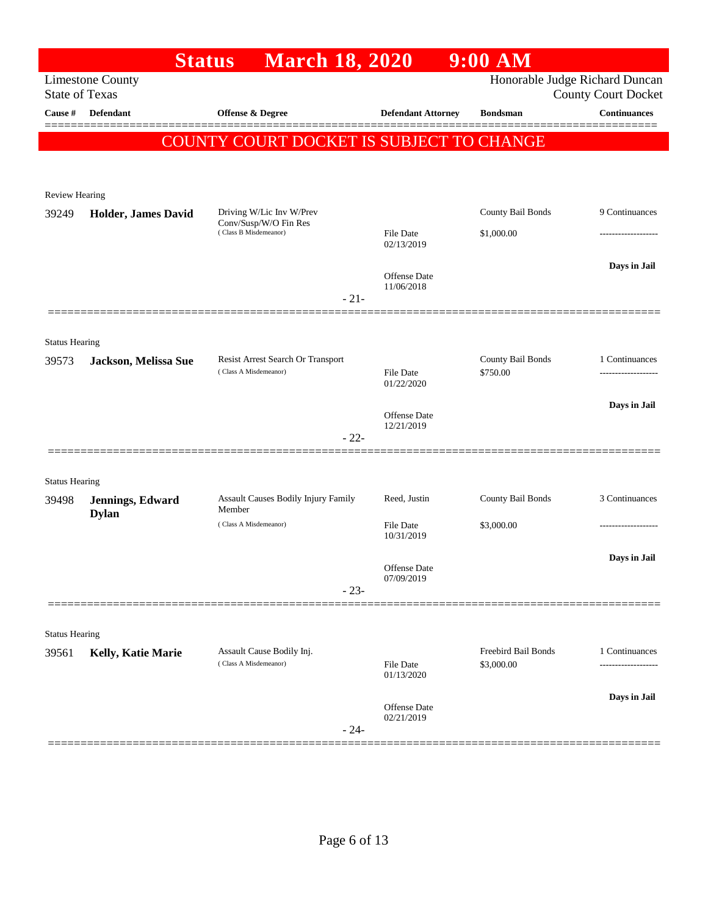|                                | <b>Status</b>           | <b>March 18, 2020</b>                                      |                                | $9:00$ AM                     |                                                   |
|--------------------------------|-------------------------|------------------------------------------------------------|--------------------------------|-------------------------------|---------------------------------------------------|
| <b>State of Texas</b>          | <b>Limestone County</b> |                                                            |                                |                               | Honorable Judge Richard Duncan                    |
| Cause #                        | <b>Defendant</b>        | Offense & Degree                                           | <b>Defendant Attorney</b>      | <b>Bondsman</b>               | <b>County Court Docket</b><br><b>Continuances</b> |
|                                |                         |                                                            |                                |                               |                                                   |
|                                |                         | COUNTY COURT DOCKET IS SUBJECT TO CHANGE                   |                                |                               |                                                   |
|                                |                         |                                                            |                                |                               |                                                   |
| Review Hearing                 |                         |                                                            |                                |                               |                                                   |
| 39249                          | Holder, James David     | Driving W/Lic Inv W/Prev                                   |                                | County Bail Bonds             | 9 Continuances                                    |
|                                |                         | Conv/Susp/W/O Fin Res<br>(Class B Misdemeanor)             | <b>File Date</b>               | \$1,000.00                    |                                                   |
|                                |                         |                                                            | 02/13/2019                     |                               |                                                   |
|                                |                         |                                                            | <b>Offense</b> Date            |                               | Days in Jail                                      |
|                                |                         | $-21-$                                                     | 11/06/2018                     |                               |                                                   |
|                                |                         |                                                            |                                |                               |                                                   |
| <b>Status Hearing</b>          |                         |                                                            |                                |                               |                                                   |
| 39573                          | Jackson, Melissa Sue    | Resist Arrest Search Or Transport<br>(Class A Misdemeanor) | <b>File Date</b>               | County Bail Bonds<br>\$750.00 | 1 Continuances                                    |
|                                |                         |                                                            | 01/22/2020                     |                               |                                                   |
|                                |                         |                                                            | Offense Date                   |                               | Days in Jail                                      |
|                                |                         | $-22-$                                                     | 12/21/2019                     |                               |                                                   |
|                                |                         |                                                            |                                |                               |                                                   |
| <b>Status Hearing</b>          |                         |                                                            |                                |                               |                                                   |
| 39498                          | Jennings, Edward        | Assault Causes Bodily Injury Family                        | Reed, Justin                   | County Bail Bonds             | 3 Continuances                                    |
|                                | <b>Dylan</b>            | Member<br>(Class A Misdemeanor)                            |                                | \$3,000.00                    |                                                   |
|                                |                         |                                                            | <b>File Date</b><br>10/31/2019 |                               |                                                   |
|                                |                         |                                                            |                                |                               | Days in Jail                                      |
|                                |                         |                                                            | Offense Date<br>07/09/2019     |                               |                                                   |
|                                |                         | $-23-$                                                     |                                |                               |                                                   |
|                                |                         |                                                            |                                |                               |                                                   |
| <b>Status Hearing</b><br>39561 | Kelly, Katie Marie      | Assault Cause Bodily Inj.                                  |                                | Freebird Bail Bonds           | 1 Continuances                                    |
|                                |                         | (Class A Misdemeanor)                                      | File Date<br>01/13/2020        | \$3,000.00                    |                                                   |
|                                |                         |                                                            |                                |                               | Days in Jail                                      |
|                                |                         |                                                            | Offense Date<br>02/21/2019     |                               |                                                   |
|                                |                         | $-24-$                                                     |                                |                               |                                                   |
|                                |                         |                                                            |                                |                               |                                                   |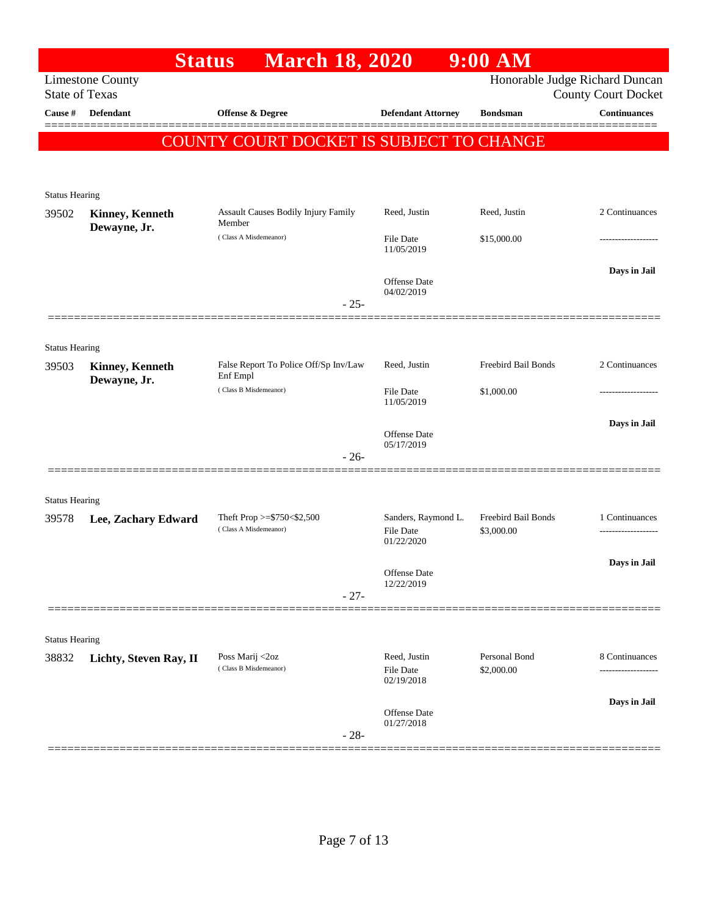|                                  |                         | <b>March 18, 2020</b><br><b>Status</b>        |                            | $9:00$ AM                   |                                                   |
|----------------------------------|-------------------------|-----------------------------------------------|----------------------------|-----------------------------|---------------------------------------------------|
|                                  | <b>Limestone County</b> |                                               |                            |                             | Honorable Judge Richard Duncan                    |
| <b>State of Texas</b><br>Cause # | Defendant               | Offense & Degree                              | <b>Defendant Attorney</b>  | <b>Bondsman</b>             | <b>County Court Docket</b><br><b>Continuances</b> |
|                                  |                         |                                               |                            |                             |                                                   |
|                                  |                         | COUNTY COURT DOCKET IS SUBJECT TO CHANGE      |                            |                             |                                                   |
|                                  |                         |                                               |                            |                             |                                                   |
| <b>Status Hearing</b>            |                         |                                               |                            |                             |                                                   |
| 39502                            | <b>Kinney, Kenneth</b>  | Assault Causes Bodily Injury Family<br>Member | Reed, Justin               | Reed, Justin                | 2 Continuances                                    |
|                                  | Dewayne, Jr.            | (Class A Misdemeanor)                         | <b>File Date</b>           | \$15,000.00                 |                                                   |
|                                  |                         |                                               | 11/05/2019                 |                             |                                                   |
|                                  |                         |                                               | Offense Date               |                             | Days in Jail                                      |
|                                  |                         | $-25-$                                        | 04/02/2019                 |                             |                                                   |
|                                  |                         |                                               |                            |                             |                                                   |
| <b>Status Hearing</b>            |                         |                                               |                            |                             |                                                   |
| 39503                            | <b>Kinney, Kenneth</b>  | False Report To Police Off/Sp Inv/Law         | Reed, Justin               | Freebird Bail Bonds         | 2 Continuances                                    |
|                                  | Dewayne, Jr.            | Enf Empl<br>(Class B Misdemeanor)             | <b>File Date</b>           | \$1,000.00                  |                                                   |
|                                  |                         |                                               | 11/05/2019                 |                             |                                                   |
|                                  |                         |                                               | Offense Date               |                             | Days in Jail                                      |
|                                  |                         | $-26-$                                        | 05/17/2019                 |                             |                                                   |
|                                  |                         |                                               |                            |                             |                                                   |
| <b>Status Hearing</b>            |                         |                                               |                            |                             |                                                   |
| 39578                            | Lee, Zachary Edward     | Theft Prop $>=$ \$750 < \$2,500               | Sanders, Raymond L.        | Freebird Bail Bonds         | 1 Continuances                                    |
|                                  |                         | (Class A Misdemeanor)                         | File Date<br>01/22/2020    | \$3,000.00                  |                                                   |
|                                  |                         |                                               |                            |                             | Days in Jail                                      |
|                                  |                         |                                               | Offense Date<br>12/22/2019 |                             |                                                   |
|                                  |                         | $-27-$                                        |                            |                             |                                                   |
|                                  |                         |                                               |                            |                             |                                                   |
| <b>Status Hearing</b>            |                         |                                               |                            |                             |                                                   |
| 38832                            | Lichty, Steven Ray, II  | Poss Marij <2oz<br>(Class B Misdemeanor)      | Reed, Justin<br>File Date  | Personal Bond<br>\$2,000.00 | 8 Continuances                                    |
|                                  |                         |                                               | 02/19/2018                 |                             |                                                   |
|                                  |                         |                                               | Offense Date               |                             | Days in Jail                                      |
|                                  |                         | $-28-$                                        | 01/27/2018                 |                             |                                                   |
|                                  |                         |                                               |                            |                             |                                                   |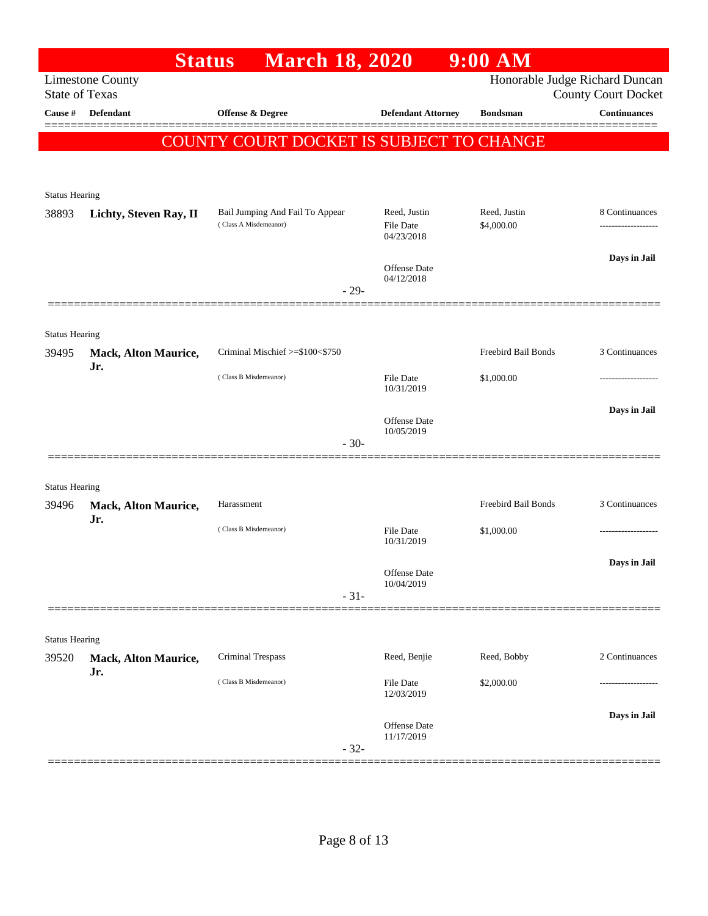|                                | <b>Status</b>                      | <b>March 18, 2020</b>                    |                                | $9:00$ AM           |                                                       |
|--------------------------------|------------------------------------|------------------------------------------|--------------------------------|---------------------|-------------------------------------------------------|
| <b>State of Texas</b>          | <b>Limestone County</b>            |                                          |                                |                     | Honorable Judge Richard Duncan<br>County Court Docket |
| Cause #                        | <b>Defendant</b>                   | Offense & Degree                         | <b>Defendant Attorney</b>      | <b>Bondsman</b>     | <b>Continuances</b>                                   |
|                                |                                    | COUNTY COURT DOCKET IS SUBJECT TO CHANGE |                                |                     |                                                       |
|                                |                                    |                                          |                                |                     |                                                       |
|                                |                                    |                                          |                                |                     |                                                       |
| <b>Status Hearing</b><br>38893 | Lichty, Steven Ray, II             | Bail Jumping And Fail To Appear          | Reed, Justin                   | Reed, Justin        | 8 Continuances                                        |
|                                |                                    | (Class A Misdemeanor)                    | <b>File Date</b><br>04/23/2018 | \$4,000.00          | .                                                     |
|                                |                                    |                                          |                                |                     | Days in Jail                                          |
|                                |                                    |                                          | Offense Date<br>04/12/2018     |                     |                                                       |
|                                |                                    | $-29-$                                   |                                |                     |                                                       |
|                                |                                    |                                          |                                |                     |                                                       |
| <b>Status Hearing</b>          |                                    |                                          |                                |                     |                                                       |
| 39495                          | <b>Mack, Alton Maurice,</b><br>Jr. | Criminal Mischief >=\$100<\$750          |                                | Freebird Bail Bonds | 3 Continuances                                        |
|                                |                                    | (Class B Misdemeanor)                    | <b>File Date</b><br>10/31/2019 | \$1,000.00          |                                                       |
|                                |                                    |                                          |                                |                     | Days in Jail                                          |
|                                |                                    |                                          | Offense Date<br>10/05/2019     |                     |                                                       |
|                                |                                    | $-30-$                                   |                                |                     |                                                       |
|                                |                                    |                                          |                                |                     |                                                       |
| <b>Status Hearing</b>          |                                    |                                          |                                |                     |                                                       |
| 39496                          | <b>Mack, Alton Maurice,</b><br>Jr. | Harassment                               |                                | Freebird Bail Bonds | 3 Continuances                                        |
|                                |                                    | (Class B Misdemeanor)                    | <b>File Date</b><br>10/31/2019 | \$1,000.00          |                                                       |
|                                |                                    |                                          |                                |                     | Days in Jail                                          |
|                                |                                    |                                          | Offense Date<br>10/04/2019     |                     |                                                       |
|                                |                                    | $-31-$                                   |                                |                     |                                                       |
|                                |                                    |                                          |                                |                     |                                                       |
| <b>Status Hearing</b>          |                                    | Criminal Trespass                        | Reed, Benjie                   | Reed, Bobby         | 2 Continuances                                        |
| 39520                          | <b>Mack, Alton Maurice,</b><br>Jr. |                                          |                                |                     |                                                       |
|                                |                                    | (Class B Misdemeanor)                    | File Date<br>12/03/2019        | \$2,000.00          |                                                       |
|                                |                                    |                                          |                                |                     | Days in Jail                                          |
|                                |                                    |                                          | Offense Date<br>11/17/2019     |                     |                                                       |
|                                |                                    | $-32-$                                   |                                |                     |                                                       |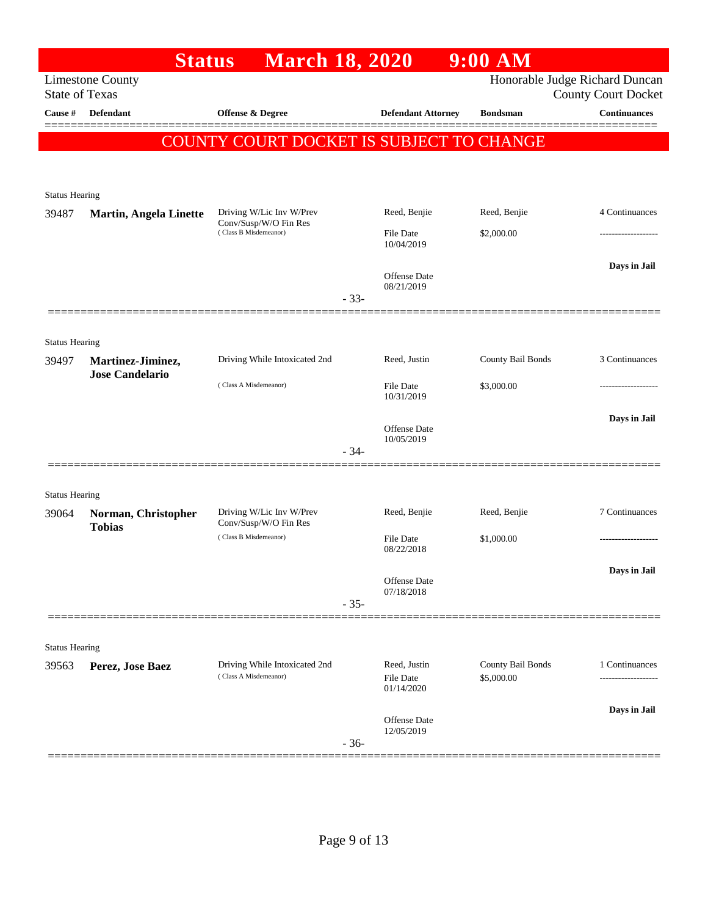|                                  | <b>Status</b>                        | <b>March 18, 2020</b>                             |        |                                | $9:00$ AM         |                                                   |
|----------------------------------|--------------------------------------|---------------------------------------------------|--------|--------------------------------|-------------------|---------------------------------------------------|
|                                  | <b>Limestone County</b>              |                                                   |        |                                |                   | Honorable Judge Richard Duncan                    |
| <b>State of Texas</b><br>Cause # | <b>Defendant</b>                     | <b>Offense &amp; Degree</b>                       |        | <b>Defendant Attorney</b>      | <b>Bondsman</b>   | <b>County Court Docket</b><br><b>Continuances</b> |
|                                  |                                      |                                                   |        |                                |                   |                                                   |
|                                  |                                      | COUNTY COURT DOCKET IS SUBJECT TO CHANGE          |        |                                |                   |                                                   |
|                                  |                                      |                                                   |        |                                |                   |                                                   |
| <b>Status Hearing</b>            |                                      |                                                   |        |                                |                   |                                                   |
| 39487                            | <b>Martin, Angela Linette</b>        | Driving W/Lic Inv W/Prev                          |        | Reed, Benjie                   | Reed, Benjie      | 4 Continuances                                    |
|                                  |                                      | Conv/Susp/W/O Fin Res<br>(Class B Misdemeanor)    |        | <b>File Date</b>               | \$2,000.00        |                                                   |
|                                  |                                      |                                                   |        | 10/04/2019                     |                   |                                                   |
|                                  |                                      |                                                   |        | Offense Date                   |                   | Days in Jail                                      |
|                                  |                                      |                                                   | $-33-$ | 08/21/2019                     |                   |                                                   |
|                                  |                                      |                                                   |        |                                |                   |                                                   |
|                                  |                                      |                                                   |        |                                |                   |                                                   |
| <b>Status Hearing</b><br>39497   | Martinez-Jiminez,                    | Driving While Intoxicated 2nd                     |        | Reed, Justin                   | County Bail Bonds | 3 Continuances                                    |
|                                  | <b>Jose Candelario</b>               |                                                   |        |                                |                   |                                                   |
|                                  |                                      | (Class A Misdemeanor)                             |        | <b>File Date</b><br>10/31/2019 | \$3,000.00        |                                                   |
|                                  |                                      |                                                   |        |                                |                   | Days in Jail                                      |
|                                  |                                      |                                                   |        | Offense Date<br>10/05/2019     |                   |                                                   |
|                                  |                                      |                                                   | $-34-$ |                                |                   |                                                   |
|                                  |                                      |                                                   |        |                                |                   |                                                   |
| <b>Status Hearing</b>            |                                      |                                                   |        |                                |                   |                                                   |
| 39064                            | Norman, Christopher<br><b>Tobias</b> | Driving W/Lic Inv W/Prev<br>Conv/Susp/W/O Fin Res |        | Reed, Benjie                   | Reed, Benjie      | 7 Continuances                                    |
|                                  |                                      | (Class B Misdemeanor)                             |        | <b>File Date</b><br>08/22/2018 | \$1,000.00        |                                                   |
|                                  |                                      |                                                   |        |                                |                   | Days in Jail                                      |
|                                  |                                      |                                                   |        | Offense Date<br>07/18/2018     |                   |                                                   |
|                                  |                                      |                                                   | $-35-$ |                                |                   |                                                   |
|                                  |                                      |                                                   |        |                                |                   |                                                   |
| <b>Status Hearing</b>            |                                      |                                                   |        |                                |                   |                                                   |
| 39563                            | Perez, Jose Baez                     | Driving While Intoxicated 2nd                     |        | Reed, Justin                   | County Bail Bonds | 1 Continuances                                    |
|                                  |                                      | (Class A Misdemeanor)                             |        | File Date<br>01/14/2020        | \$5,000.00        |                                                   |
|                                  |                                      |                                                   |        |                                |                   | Days in Jail                                      |
|                                  |                                      |                                                   |        | Offense Date<br>12/05/2019     |                   |                                                   |
|                                  |                                      |                                                   | $-36-$ |                                |                   |                                                   |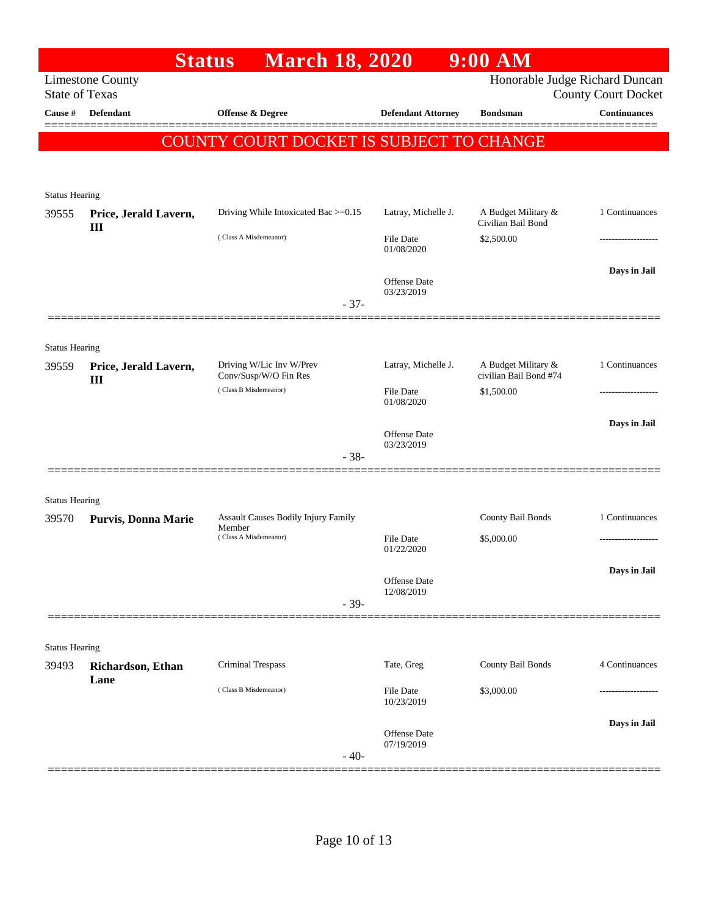|                                         | <b>Status</b>                         | <b>March 18, 2020</b>                             |                                | $9:00$ AM                                     |                                            |
|-----------------------------------------|---------------------------------------|---------------------------------------------------|--------------------------------|-----------------------------------------------|--------------------------------------------|
|                                         | <b>Limestone County</b>               |                                                   |                                | Honorable Judge Richard Duncan                |                                            |
| <b>State of Texas</b><br><b>Cause</b> # | <b>Defendant</b>                      | Offense & Degree                                  | <b>Defendant Attorney</b>      | <b>Bondsman</b>                               | <b>County Court Docket</b><br>Continuances |
|                                         |                                       |                                                   |                                |                                               |                                            |
|                                         |                                       | COUNTY COURT DOCKET IS SUBJECT TO CHANGE          |                                |                                               |                                            |
|                                         |                                       |                                                   |                                |                                               |                                            |
| <b>Status Hearing</b>                   |                                       |                                                   |                                |                                               |                                            |
| 39555                                   | Price, Jerald Lavern,<br>$\mathbf{I}$ | Driving While Intoxicated Bac >=0.15              | Latray, Michelle J.            | A Budget Military &<br>Civilian Bail Bond     | 1 Continuances                             |
|                                         |                                       | (Class A Misdemeanor)                             | <b>File Date</b><br>01/08/2020 | \$2,500.00                                    |                                            |
|                                         |                                       |                                                   | Offense Date<br>03/23/2019     |                                               | Days in Jail                               |
|                                         |                                       | $-37-$                                            |                                |                                               |                                            |
|                                         |                                       |                                                   |                                |                                               |                                            |
| <b>Status Hearing</b>                   |                                       |                                                   |                                |                                               |                                            |
| 39559                                   | Price, Jerald Lavern,<br>$\mathbf{I}$ | Driving W/Lic Inv W/Prev<br>Conv/Susp/W/O Fin Res | Latray, Michelle J.            | A Budget Military &<br>civilian Bail Bond #74 | 1 Continuances                             |
|                                         |                                       | (Class B Misdemeanor)                             | <b>File Date</b><br>01/08/2020 | \$1,500.00                                    |                                            |
|                                         |                                       |                                                   | Offense Date                   |                                               | Days in Jail                               |
|                                         |                                       | $-38-$                                            | 03/23/2019                     |                                               |                                            |
| <b>Status Hearing</b>                   |                                       |                                                   |                                |                                               |                                            |
| 39570                                   | Purvis, Donna Marie                   | Assault Causes Bodily Injury Family<br>Member     |                                | County Bail Bonds                             | 1 Continuances                             |
|                                         |                                       | (Class A Misdemeanor)                             | <b>File Date</b><br>01/22/2020 | \$5,000.00                                    | -----------------                          |
|                                         |                                       |                                                   | Offense Date<br>12/08/2019     |                                               | Days in Jail                               |
|                                         |                                       | $-39-$                                            |                                |                                               |                                            |
|                                         |                                       |                                                   |                                |                                               |                                            |
| <b>Status Hearing</b>                   |                                       |                                                   |                                |                                               |                                            |
| 39493                                   | Richardson, Ethan                     | <b>Criminal Trespass</b>                          | Tate, Greg                     | County Bail Bonds                             | 4 Continuances                             |
|                                         | Lane                                  | (Class B Misdemeanor)                             | File Date<br>10/23/2019        | \$3,000.00                                    |                                            |
|                                         |                                       | $-40-$                                            | Offense Date<br>07/19/2019     |                                               | Days in Jail                               |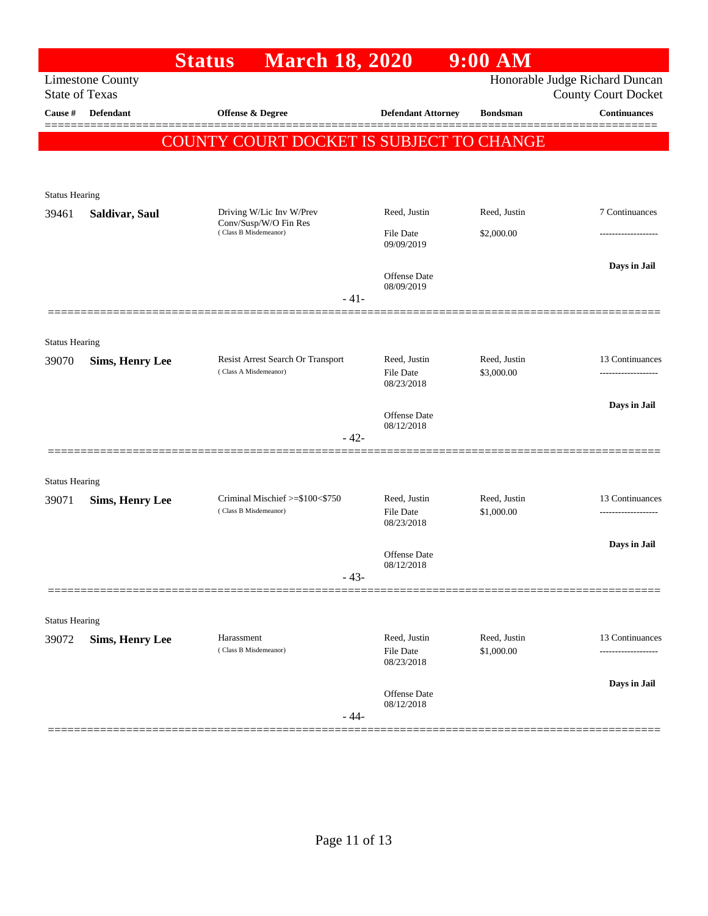| Honorable Judge Richard Duncan<br><b>Limestone County</b><br><b>State of Texas</b><br><b>County Court Docket</b><br><b>Defendant</b><br>Cause #<br>Offense & Degree<br><b>Defendant Attorney</b><br><b>Bondsman</b><br>COUNTY COURT DOCKET IS SUBJECT TO CHANGE<br><b>Status Hearing</b><br>Driving W/Lic Inv W/Prev<br>Reed, Justin<br>Reed, Justin<br>39461<br>Saldivar, Saul<br>Conv/Susp/W/O Fin Res<br>(Class B Misdemeanor)<br><b>File Date</b><br>\$2,000.00<br>09/09/2019<br>Offense Date<br>08/09/2019<br>$-41-$<br><b>Status Hearing</b><br>Resist Arrest Search Or Transport<br>Reed, Justin<br>Reed, Justin<br>39070<br><b>Sims, Henry Lee</b><br>(Class A Misdemeanor)<br>\$3,000.00<br>File Date<br>08/23/2018<br>Offense Date<br>08/12/2018<br>$-42-$<br><b>Status Hearing</b><br>Criminal Mischief >=\$100<\$750<br>Reed, Justin<br>Reed, Justin<br>39071<br><b>Sims, Henry Lee</b><br>(Class B Misdemeanor)<br><b>File Date</b><br>\$1,000.00<br>08/23/2018<br>Offense Date<br>08/12/2018<br>$-43-$<br><b>Status Hearing</b> |                     |
|-----------------------------------------------------------------------------------------------------------------------------------------------------------------------------------------------------------------------------------------------------------------------------------------------------------------------------------------------------------------------------------------------------------------------------------------------------------------------------------------------------------------------------------------------------------------------------------------------------------------------------------------------------------------------------------------------------------------------------------------------------------------------------------------------------------------------------------------------------------------------------------------------------------------------------------------------------------------------------------------------------------------------------------------------|---------------------|
|                                                                                                                                                                                                                                                                                                                                                                                                                                                                                                                                                                                                                                                                                                                                                                                                                                                                                                                                                                                                                                               |                     |
|                                                                                                                                                                                                                                                                                                                                                                                                                                                                                                                                                                                                                                                                                                                                                                                                                                                                                                                                                                                                                                               | <b>Continuances</b> |
|                                                                                                                                                                                                                                                                                                                                                                                                                                                                                                                                                                                                                                                                                                                                                                                                                                                                                                                                                                                                                                               |                     |
|                                                                                                                                                                                                                                                                                                                                                                                                                                                                                                                                                                                                                                                                                                                                                                                                                                                                                                                                                                                                                                               |                     |
|                                                                                                                                                                                                                                                                                                                                                                                                                                                                                                                                                                                                                                                                                                                                                                                                                                                                                                                                                                                                                                               |                     |
|                                                                                                                                                                                                                                                                                                                                                                                                                                                                                                                                                                                                                                                                                                                                                                                                                                                                                                                                                                                                                                               | 7 Continuances      |
|                                                                                                                                                                                                                                                                                                                                                                                                                                                                                                                                                                                                                                                                                                                                                                                                                                                                                                                                                                                                                                               |                     |
|                                                                                                                                                                                                                                                                                                                                                                                                                                                                                                                                                                                                                                                                                                                                                                                                                                                                                                                                                                                                                                               | ------------------- |
|                                                                                                                                                                                                                                                                                                                                                                                                                                                                                                                                                                                                                                                                                                                                                                                                                                                                                                                                                                                                                                               | Days in Jail        |
|                                                                                                                                                                                                                                                                                                                                                                                                                                                                                                                                                                                                                                                                                                                                                                                                                                                                                                                                                                                                                                               |                     |
|                                                                                                                                                                                                                                                                                                                                                                                                                                                                                                                                                                                                                                                                                                                                                                                                                                                                                                                                                                                                                                               |                     |
|                                                                                                                                                                                                                                                                                                                                                                                                                                                                                                                                                                                                                                                                                                                                                                                                                                                                                                                                                                                                                                               |                     |
|                                                                                                                                                                                                                                                                                                                                                                                                                                                                                                                                                                                                                                                                                                                                                                                                                                                                                                                                                                                                                                               |                     |
|                                                                                                                                                                                                                                                                                                                                                                                                                                                                                                                                                                                                                                                                                                                                                                                                                                                                                                                                                                                                                                               | 13 Continuances     |
|                                                                                                                                                                                                                                                                                                                                                                                                                                                                                                                                                                                                                                                                                                                                                                                                                                                                                                                                                                                                                                               |                     |
|                                                                                                                                                                                                                                                                                                                                                                                                                                                                                                                                                                                                                                                                                                                                                                                                                                                                                                                                                                                                                                               | Days in Jail        |
|                                                                                                                                                                                                                                                                                                                                                                                                                                                                                                                                                                                                                                                                                                                                                                                                                                                                                                                                                                                                                                               |                     |
|                                                                                                                                                                                                                                                                                                                                                                                                                                                                                                                                                                                                                                                                                                                                                                                                                                                                                                                                                                                                                                               |                     |
|                                                                                                                                                                                                                                                                                                                                                                                                                                                                                                                                                                                                                                                                                                                                                                                                                                                                                                                                                                                                                                               |                     |
|                                                                                                                                                                                                                                                                                                                                                                                                                                                                                                                                                                                                                                                                                                                                                                                                                                                                                                                                                                                                                                               | 13 Continuances     |
|                                                                                                                                                                                                                                                                                                                                                                                                                                                                                                                                                                                                                                                                                                                                                                                                                                                                                                                                                                                                                                               |                     |
|                                                                                                                                                                                                                                                                                                                                                                                                                                                                                                                                                                                                                                                                                                                                                                                                                                                                                                                                                                                                                                               |                     |
|                                                                                                                                                                                                                                                                                                                                                                                                                                                                                                                                                                                                                                                                                                                                                                                                                                                                                                                                                                                                                                               | Days in Jail        |
|                                                                                                                                                                                                                                                                                                                                                                                                                                                                                                                                                                                                                                                                                                                                                                                                                                                                                                                                                                                                                                               |                     |
|                                                                                                                                                                                                                                                                                                                                                                                                                                                                                                                                                                                                                                                                                                                                                                                                                                                                                                                                                                                                                                               |                     |
|                                                                                                                                                                                                                                                                                                                                                                                                                                                                                                                                                                                                                                                                                                                                                                                                                                                                                                                                                                                                                                               |                     |
| Reed, Justin<br>Reed, Justin<br>Harassment<br>39072<br><b>Sims, Henry Lee</b>                                                                                                                                                                                                                                                                                                                                                                                                                                                                                                                                                                                                                                                                                                                                                                                                                                                                                                                                                                 | 13 Continuances     |
| (Class B Misdemeanor)<br>File Date<br>\$1,000.00<br>08/23/2018                                                                                                                                                                                                                                                                                                                                                                                                                                                                                                                                                                                                                                                                                                                                                                                                                                                                                                                                                                                | ------------------  |
|                                                                                                                                                                                                                                                                                                                                                                                                                                                                                                                                                                                                                                                                                                                                                                                                                                                                                                                                                                                                                                               | Days in Jail        |
| Offense Date<br>08/12/2018                                                                                                                                                                                                                                                                                                                                                                                                                                                                                                                                                                                                                                                                                                                                                                                                                                                                                                                                                                                                                    |                     |
| $-44-$                                                                                                                                                                                                                                                                                                                                                                                                                                                                                                                                                                                                                                                                                                                                                                                                                                                                                                                                                                                                                                        |                     |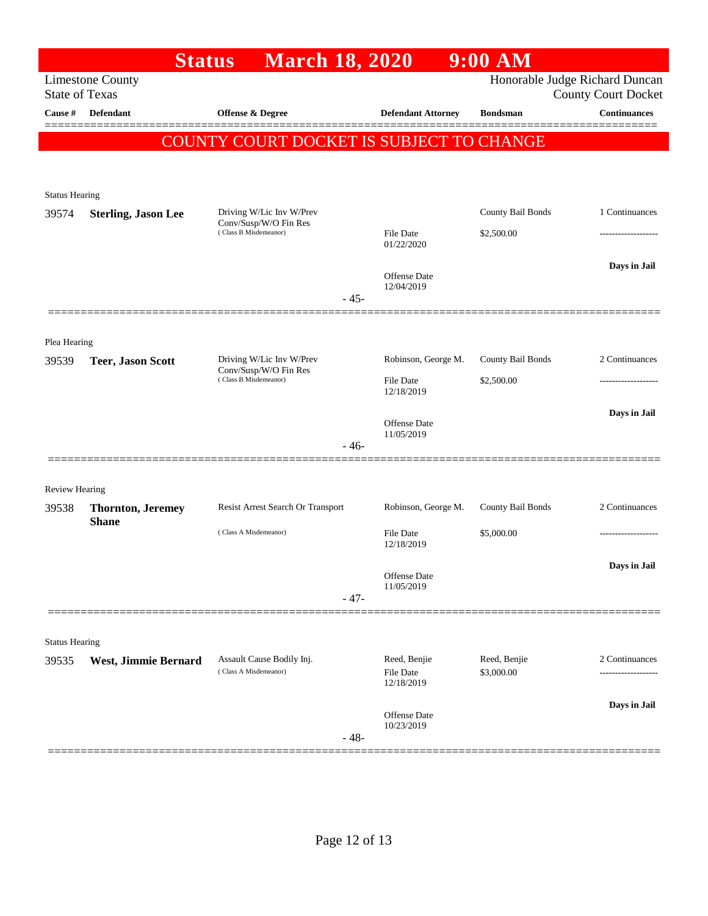|                       |                            | <b>March 18, 2020</b><br><b>Status</b>                                     |                                         | $9:00$ AM                       |                                                              |
|-----------------------|----------------------------|----------------------------------------------------------------------------|-----------------------------------------|---------------------------------|--------------------------------------------------------------|
| <b>State of Texas</b> | <b>Limestone County</b>    |                                                                            |                                         |                                 | Honorable Judge Richard Duncan<br><b>County Court Docket</b> |
| Cause #               | Defendant                  | <b>Offense &amp; Degree</b>                                                | <b>Defendant Attorney</b>               | <b>Bondsman</b>                 | <b>Continuances</b>                                          |
|                       |                            | COUNTY COURT DOCKET IS SUBJECT TO CHANGE                                   |                                         |                                 |                                                              |
|                       |                            |                                                                            |                                         |                                 |                                                              |
| <b>Status Hearing</b> |                            |                                                                            |                                         |                                 |                                                              |
| 39574                 | <b>Sterling, Jason Lee</b> | Driving W/Lic Inv W/Prev<br>Conv/Susp/W/O Fin Res                          |                                         | County Bail Bonds               | 1 Continuances                                               |
|                       |                            | (Class B Misdemeanor)                                                      | <b>File Date</b><br>01/22/2020          | \$2,500.00                      | ------------------                                           |
|                       |                            |                                                                            | <b>Offense Date</b>                     |                                 | Days in Jail                                                 |
|                       |                            | $-45-$                                                                     | 12/04/2019                              |                                 |                                                              |
|                       |                            |                                                                            |                                         |                                 |                                                              |
| Plea Hearing          |                            |                                                                            |                                         |                                 |                                                              |
| 39539                 | <b>Teer, Jason Scott</b>   | Driving W/Lic Inv W/Prev<br>Conv/Susp/W/O Fin Res<br>(Class B Misdemeanor) | Robinson, George M.<br><b>File Date</b> | County Bail Bonds<br>\$2,500.00 | 2 Continuances<br>                                           |
|                       |                            |                                                                            | 12/18/2019                              |                                 |                                                              |
|                       |                            |                                                                            | <b>Offense Date</b><br>11/05/2019       |                                 | Days in Jail                                                 |
|                       |                            |                                                                            | $-46-$                                  |                                 |                                                              |
| <b>Review Hearing</b> |                            |                                                                            |                                         |                                 |                                                              |
| 39538                 | <b>Thornton, Jeremey</b>   | Resist Arrest Search Or Transport                                          | Robinson, George M.                     | County Bail Bonds               | 2 Continuances                                               |
|                       | <b>Shane</b>               | (Class A Misdemeanor)                                                      | <b>File Date</b><br>12/18/2019          | \$5,000.00                      |                                                              |
|                       |                            |                                                                            |                                         |                                 | Days in Jail                                                 |
|                       |                            |                                                                            | Offense Date<br>11/05/2019              |                                 |                                                              |
|                       |                            | $-47-$                                                                     |                                         |                                 |                                                              |
| <b>Status Hearing</b> |                            |                                                                            |                                         |                                 |                                                              |
| 39535                 | West, Jimmie Bernard       | Assault Cause Bodily Inj.<br>(Class A Misdemeanor)                         | Reed, Benjie<br>File Date               | Reed, Benjie<br>\$3,000.00      | 2 Continuances<br>                                           |
|                       |                            |                                                                            | 12/18/2019                              |                                 |                                                              |
|                       |                            |                                                                            | Offense Date<br>10/23/2019              |                                 | Days in Jail                                                 |
|                       |                            | $-48-$                                                                     |                                         |                                 |                                                              |